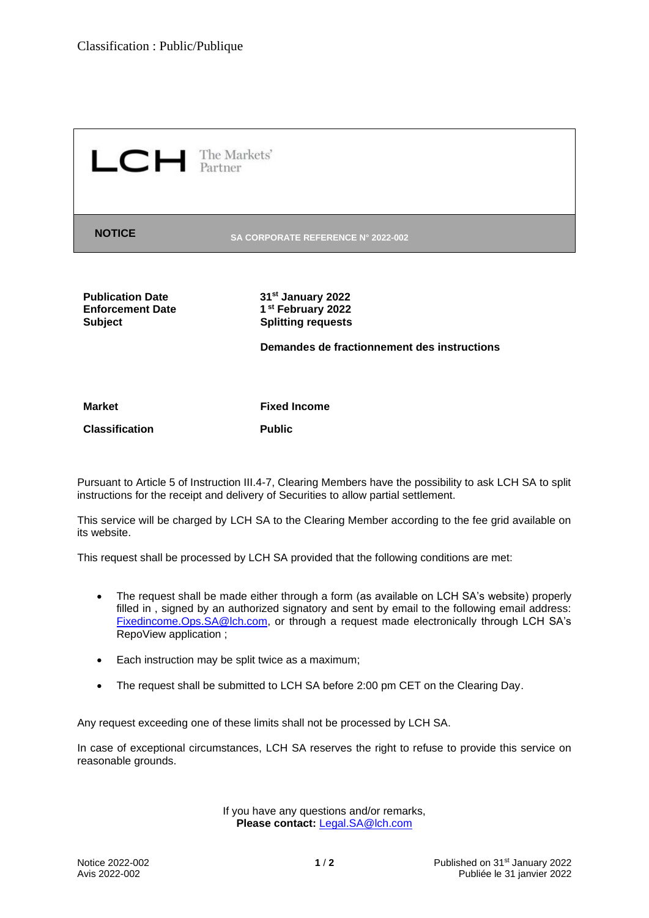$L$   $C$   $H$  The Markets'

**NOTICE SA CORPORATE REFERENCE N° 2022-002**

**Enforcement Date** 

**Publication Date 31st January 2022 st February 2022 Subject Splitting requests**

**Demandes de fractionnement des instructions**

**Market Fixed Income**

**Classification Public**

Pursuant to Article 5 of Instruction III.4-7, Clearing Members have the possibility to ask LCH SA to split instructions for the receipt and delivery of Securities to allow partial settlement.

This service will be charged by LCH SA to the Clearing Member according to the fee grid available on its website.

This request shall be processed by LCH SA provided that the following conditions are met:

- The request shall be made either through a form (as available on LCH SA's website) properly filled in , signed by an authorized signatory and sent by email to the following email address: [Fixedincome.Ops.SA@lch.com,](mailto:Fixedincome.Ops.SA@lch.com) or through a request made electronically through LCH SA's RepoView application ;
- Each instruction may be split twice as a maximum;
- The request shall be submitted to LCH SA before 2:00 pm CET on the Clearing Day.

Any request exceeding one of these limits shall not be processed by LCH SA.

In case of exceptional circumstances, LCH SA reserves the right to refuse to provide this service on reasonable grounds.

> If you have any questions and/or remarks, **Please contact:** [Legal.SA@lch.com](mailto:Legal.SA@lch.com)